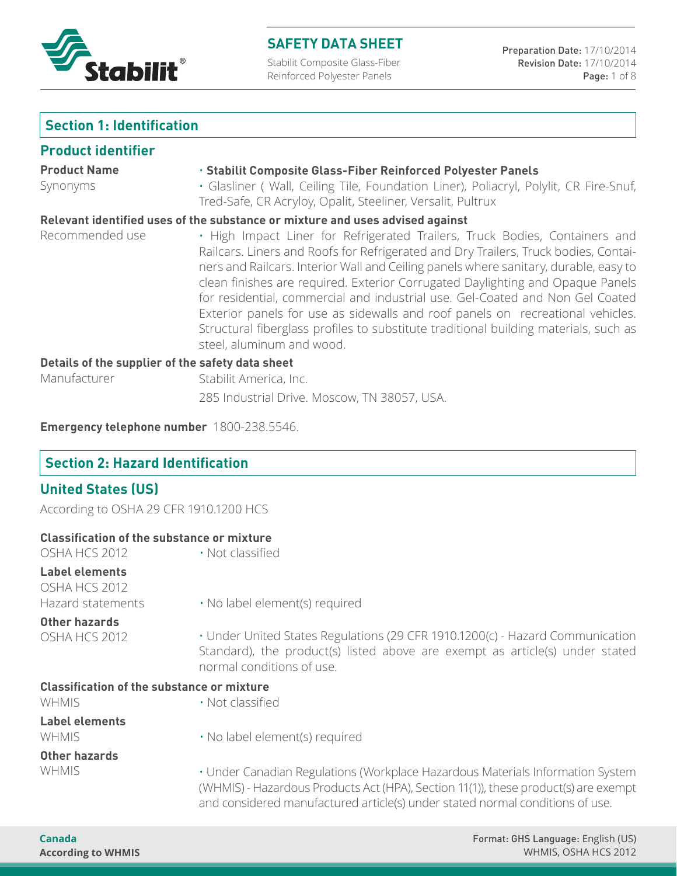

Stabilit Composite Glass-Fiber Reinforced Polyester Panels

# **Section 1: Identification**

## **Product identifier**

| <b>Product Name</b>                              | · Stabilit Composite Glass-Fiber Reinforced Polyester Panels                                                                                                                                                                                                                                                                                                                                                                                                                                                                                                                                                                         |  |  |  |
|--------------------------------------------------|--------------------------------------------------------------------------------------------------------------------------------------------------------------------------------------------------------------------------------------------------------------------------------------------------------------------------------------------------------------------------------------------------------------------------------------------------------------------------------------------------------------------------------------------------------------------------------------------------------------------------------------|--|--|--|
| Synonyms                                         | · Glasliner ( Wall, Ceiling Tile, Foundation Liner), Poliacryl, Polylit, CR Fire-Snuf,<br>Tred-Safe, CR Acryloy, Opalit, Steeliner, Versalit, Pultrux                                                                                                                                                                                                                                                                                                                                                                                                                                                                                |  |  |  |
|                                                  | Relevant identified uses of the substance or mixture and uses advised against                                                                                                                                                                                                                                                                                                                                                                                                                                                                                                                                                        |  |  |  |
| Recommended use                                  | . High Impact Liner for Refrigerated Trailers, Truck Bodies, Containers and<br>Railcars. Liners and Roofs for Refrigerated and Dry Trailers, Truck bodies, Contai-<br>ners and Railcars. Interior Wall and Ceiling panels where sanitary, durable, easy to<br>clean finishes are required. Exterior Corrugated Daylighting and Opaque Panels<br>for residential, commercial and industrial use. Gel-Coated and Non Gel Coated<br>Exterior panels for use as sidewalls and roof panels on recreational vehicles.<br>Structural fiberglass profiles to substitute traditional building materials, such as<br>steel, aluminum and wood. |  |  |  |
| Details of the supplier of the safety data sheet |                                                                                                                                                                                                                                                                                                                                                                                                                                                                                                                                                                                                                                      |  |  |  |
| Manufacturer                                     | Stabilit America, Inc.                                                                                                                                                                                                                                                                                                                                                                                                                                                                                                                                                                                                               |  |  |  |
|                                                  | 285 Industrial Drive. Moscow, TN 38057, USA.                                                                                                                                                                                                                                                                                                                                                                                                                                                                                                                                                                                         |  |  |  |

**Emergency telephone number** 1800-238.5546.

# **Section 2: Hazard Identification**

# **United States (US)**

| According to OSHA 29 CFR 1910.1200 HCS |  |  |
|----------------------------------------|--|--|

| <b>Classification of the substance or mixture</b>           |                                                                                                                                                                                                                                                        |
|-------------------------------------------------------------|--------------------------------------------------------------------------------------------------------------------------------------------------------------------------------------------------------------------------------------------------------|
| OSHA HCS 2012                                               | • Not classified                                                                                                                                                                                                                                       |
| <b>Label elements</b><br>OSHA HCS 2012<br>Hazard statements | $\cdot$ No label element(s) required                                                                                                                                                                                                                   |
| Other hazards                                               |                                                                                                                                                                                                                                                        |
| OSHA HCS 2012                                               | • Under United States Regulations (29 CFR 1910.1200(c) - Hazard Communication<br>Standard), the product(s) listed above are exempt as article(s) under stated<br>normal conditions of use.                                                             |
| <b>Classification of the substance or mixture</b>           |                                                                                                                                                                                                                                                        |
| <b>WHMIS</b>                                                | • Not classified                                                                                                                                                                                                                                       |
| <b>Label elements</b><br><b>WHMIS</b>                       | · No label element(s) required                                                                                                                                                                                                                         |
| Other hazards                                               |                                                                                                                                                                                                                                                        |
| <b>WHMIS</b>                                                | · Under Canadian Regulations (Workplace Hazardous Materials Information System<br>(WHMIS) - Hazardous Products Act (HPA), Section 11(1)), these product(s) are exempt<br>and considered manufactured article(s) under stated normal conditions of use. |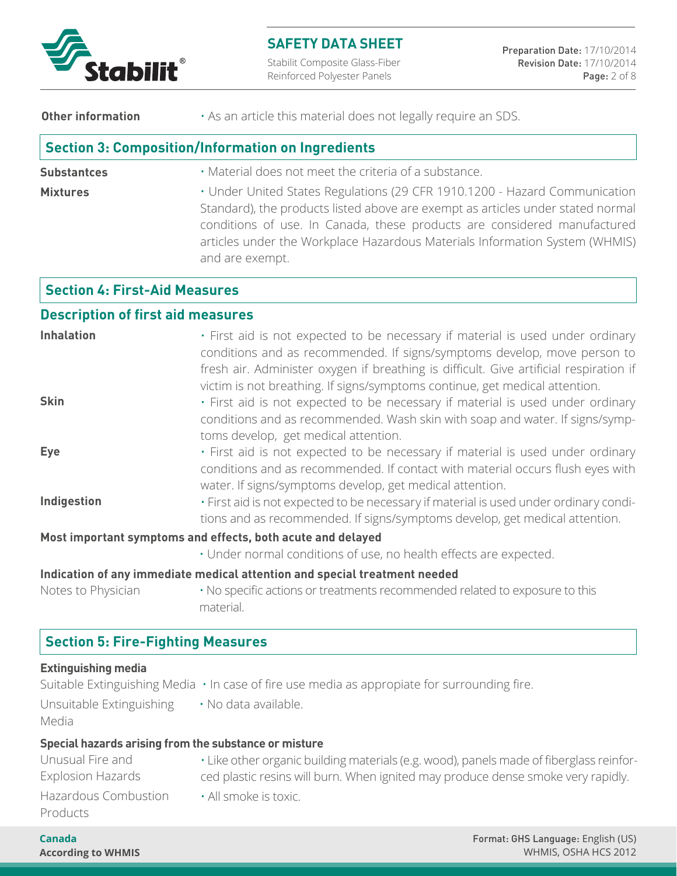

Stabilit Composite Glass-Fiber Reinforced Polyester Panels

**Other information •** As an article this material does not legally require an SDS.

## **Section 3: Composition/Information on Ingredients**

**Substantces Mixtures** • Material does not meet the criteria of a substance. • Under United States Regulations (29 CFR 1910.1200 - Hazard Communication Standard), the products listed above are exempt as articles under stated normal conditions of use. In Canada, these products are considered manufactured articles under the Workplace Hazardous Materials Information System (WHMIS) and are exempt.

## **Section 4: First-Aid Measures**

#### **Description of first aid measures**

| <b>Inhalation</b>                                           | . First aid is not expected to be necessary if material is used under ordinary<br>conditions and as recommended. If signs/symptoms develop, move person to<br>fresh air. Administer oxygen if breathing is difficult. Give artificial respiration if<br>victim is not breathing. If signs/symptoms continue, get medical attention. |  |  |  |
|-------------------------------------------------------------|-------------------------------------------------------------------------------------------------------------------------------------------------------------------------------------------------------------------------------------------------------------------------------------------------------------------------------------|--|--|--|
| <b>Skin</b>                                                 | . First aid is not expected to be necessary if material is used under ordinary<br>conditions and as recommended. Wash skin with soap and water. If signs/symp-<br>toms develop, get medical attention.                                                                                                                              |  |  |  |
| <b>Eye</b>                                                  | · First aid is not expected to be necessary if material is used under ordinary<br>conditions and as recommended. If contact with material occurs flush eyes with<br>water. If signs/symptoms develop, get medical attention.                                                                                                        |  |  |  |
| Indigestion                                                 | . First aid is not expected to be necessary if material is used under ordinary condi-<br>tions and as recommended. If signs/symptoms develop, get medical attention.                                                                                                                                                                |  |  |  |
| Most important symptoms and effects, both acute and delayed |                                                                                                                                                                                                                                                                                                                                     |  |  |  |
|                                                             | · Under normal conditions of use, no health effects are expected.                                                                                                                                                                                                                                                                   |  |  |  |
|                                                             | Indication of any immediate medical attention and special treatment needed                                                                                                                                                                                                                                                          |  |  |  |

Notes to Physician • No specific actions or treatments recommended related to exposure to this material.

# **Section 5: Fire-Fighting Measures**

#### **Extinguishing media**

|                                   | Suitable Extinguishing Media $\cdot$ In case of fire use media as appropiate for surrounding fire. |
|-----------------------------------|----------------------------------------------------------------------------------------------------|
| Unsuitable Extinguishing<br>Media | · No data available.                                                                               |
|                                   | Special hazards arising from the substance or misture                                              |
| Unusual Fire and                  | . Like other organic building materials (e.g. wood), panels made of fiberglass reinfor-            |
| <b>Explosion Hazards</b>          | ced plastic resins will burn. When ignited may produce dense smoke very rapidly.                   |

Explosion Hazards Hazardous Combustion Products

• All smoke is toxic.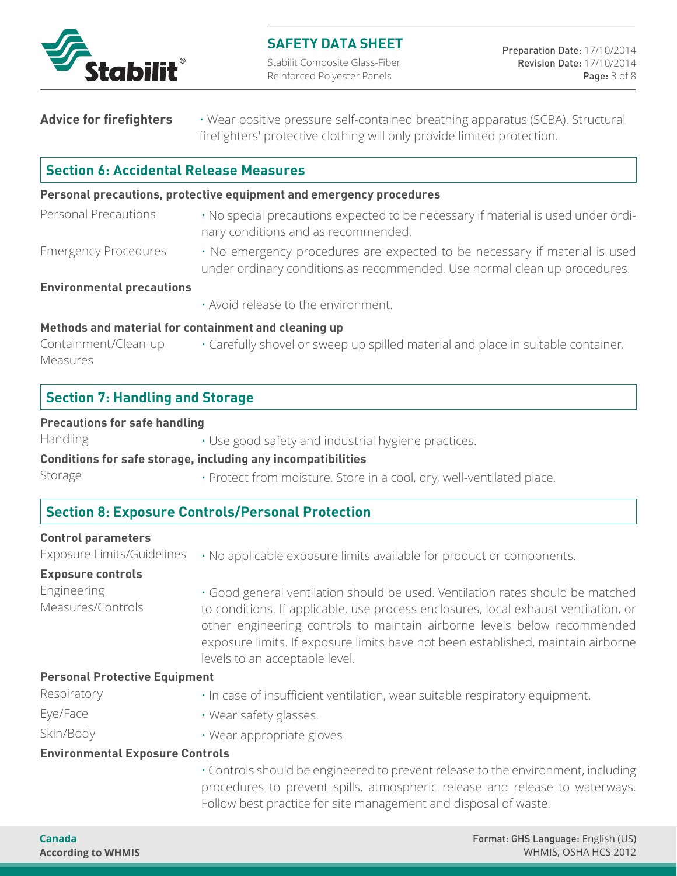

Stabilit Composite Glass-Fiber Reinforced Polyester Panels

| <b>Advice for firefighters</b> | . Wear positive pressure self-contained breathing apparatus (SCBA). Structural |
|--------------------------------|--------------------------------------------------------------------------------|
|                                | firefighters' protective clothing will only provide limited protection.        |

# **Section 6: Accidental Release Measures**

#### **Personal precautions, protective equipment and emergency procedures**

- No special precautions expected to be necessary if material is used under ordinary conditions and as recommended. Personal Precautions
- No emergency procedures are expected to be necessary if material is used under ordinary conditions as recommended. Use normal clean up procedures. Emergency Procedures

#### **Environmental precautions**

• Avoid release to the environment.

#### **Methods and material for containment and cleaning up**

• Carefully shovel or sweep up spilled material and place in suitable container. Containment/Clean-up Measures

| <b>Section 7: Handling and Storage</b> |  |
|----------------------------------------|--|
|----------------------------------------|--|

#### **Precautions for safe handling**

Handling

• Use good safety and industrial hygiene practices.

#### **Conditions for safe storage, including any incompatibilities**

Storage

• Protect from moisture. Store in a cool, dry, well-ventilated place.

## **Section 8: Exposure Controls/Personal Protection**

#### **Control parameters**

| Exposure Limits/Guidelines              | . No applicable exposure limits available for product or components.                                                                                                                                                                                                                                                                                                    |  |  |
|-----------------------------------------|-------------------------------------------------------------------------------------------------------------------------------------------------------------------------------------------------------------------------------------------------------------------------------------------------------------------------------------------------------------------------|--|--|
| <b>Exposure controls</b>                |                                                                                                                                                                                                                                                                                                                                                                         |  |  |
| <b>Engineering</b><br>Measures/Controls | . Good general ventilation should be used. Ventilation rates should be matched<br>to conditions. If applicable, use process enclosures, local exhaust ventilation, or<br>other engineering controls to maintain airborne levels below recommended<br>exposure limits. If exposure limits have not been established, maintain airborne<br>levels to an acceptable level. |  |  |
| <b>Personal Protective Equipment</b>    |                                                                                                                                                                                                                                                                                                                                                                         |  |  |
| Respiratory                             | . In case of insufficient ventilation, wear suitable respiratory equipment.                                                                                                                                                                                                                                                                                             |  |  |
| Eye/Face                                | · Wear safety glasses.                                                                                                                                                                                                                                                                                                                                                  |  |  |

Skin/Body

- Wear appropriate gloves.
- **Environmental Exposure Controls**

• Controls should be engineered to prevent release to the environment, including procedures to prevent spills, atmospheric release and release to waterways. Follow best practice for site management and disposal of waste.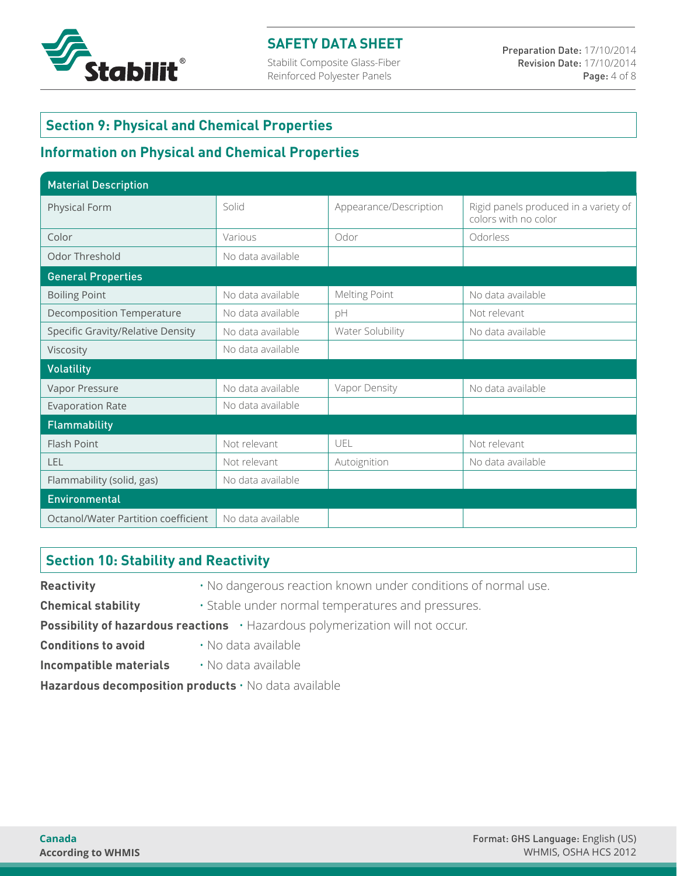

Stabilit Composite Glass-Fiber Reinforced Polyester Panels

## **Section 9: Physical and Chemical Properties**

# **Information on Physical and Chemical Properties**

| <b>Material Description</b>         |                   |                        |                                                               |  |  |
|-------------------------------------|-------------------|------------------------|---------------------------------------------------------------|--|--|
| Physical Form                       | Solid             | Appearance/Description | Rigid panels produced in a variety of<br>colors with no color |  |  |
| Color                               | Various           | Odor                   | Odorless                                                      |  |  |
| Odor Threshold                      | No data available |                        |                                                               |  |  |
| <b>General Properties</b>           |                   |                        |                                                               |  |  |
| <b>Boiling Point</b>                | No data available | Melting Point          | No data available                                             |  |  |
| <b>Decomposition Temperature</b>    | No data available | pH                     | Not relevant                                                  |  |  |
| Specific Gravity/Relative Density   | No data available | Water Solubility       | No data available                                             |  |  |
| Viscosity                           | No data available |                        |                                                               |  |  |
| <b>Volatility</b>                   |                   |                        |                                                               |  |  |
| Vapor Pressure                      | No data available | Vapor Density          | No data available                                             |  |  |
| <b>Evaporation Rate</b>             | No data available |                        |                                                               |  |  |
| Flammability                        |                   |                        |                                                               |  |  |
| Flash Point                         | Not relevant      | UEL                    | Not relevant                                                  |  |  |
| LEL                                 | Not relevant      | Autoignition           | No data available                                             |  |  |
| Flammability (solid, gas)           | No data available |                        |                                                               |  |  |
| Environmental                       |                   |                        |                                                               |  |  |
| Octanol/Water Partition coefficient | No data available |                        |                                                               |  |  |

## **Section 10: Stability and Reactivity**

**Reactivity** • No dangerous reaction known under conditions of normal use. **Chemical stability** • Stable under normal temperatures and pressures. **Possibility of hazardous reactions** • Hazardous polymerization will not occur. **Conditions to avoid** • No data available **Incompatible materials** • No data available **Hazardous decomposition products** • No data available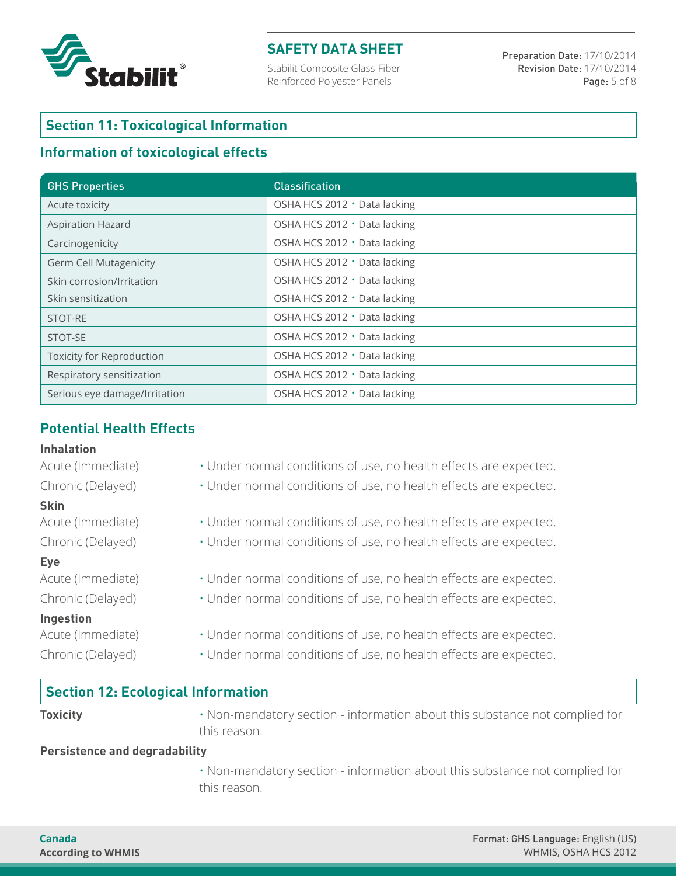

Stabilit Composite Glass-Fiber Reinforced Polyester Panels

# **Section 11: Toxicological Information**

## **Information of toxicological effects**

| <b>GHS Properties</b>            | <b>Classification</b>        |
|----------------------------------|------------------------------|
| Acute toxicity                   | OSHA HCS 2012 · Data lacking |
| <b>Aspiration Hazard</b>         | OSHA HCS 2012 · Data lacking |
| Carcinogenicity                  | OSHA HCS 2012 · Data lacking |
| <b>Germ Cell Mutagenicity</b>    | OSHA HCS 2012 · Data lacking |
| Skin corrosion/Irritation        | OSHA HCS 2012 · Data lacking |
| Skin sensitization               | OSHA HCS 2012 · Data lacking |
| STOT-RE                          | OSHA HCS 2012 · Data lacking |
| STOT-SE                          | OSHA HCS 2012 · Data lacking |
| <b>Toxicity for Reproduction</b> | OSHA HCS 2012 · Data lacking |
| Respiratory sensitization        | OSHA HCS 2012 · Data lacking |
| Serious eye damage/Irritation    | OSHA HCS 2012 · Data lacking |

# **Potential Health Effects**

#### **Inhalation**

#### **Skin**

#### **Eye**

#### **Ingestion**

- Acute (Immediate) Under normal conditions of use, no health effects are expected.
- Chronic (Delayed) Under normal conditions of use, no health effects are expected.
- Acute (Immediate) Under normal conditions of use, no health effects are expected.
- Chronic (Delayed) Under normal conditions of use, no health effects are expected.
- Acute (Immediate) Under normal conditions of use, no health effects are expected.
- Chronic (Delayed) Under normal conditions of use, no health effects are expected.
- Acute (Immediate) Under normal conditions of use, no health effects are expected.
- Chronic (Delayed) Under normal conditions of use, no health effects are expected.

## **Section 12: Ecological Information**

**Toxicity • Non-mandatory section - information about this substance not complied for** this reason.

#### **Persistence and degradability**

 • Non-mandatory section - information about this substance not complied for this reason.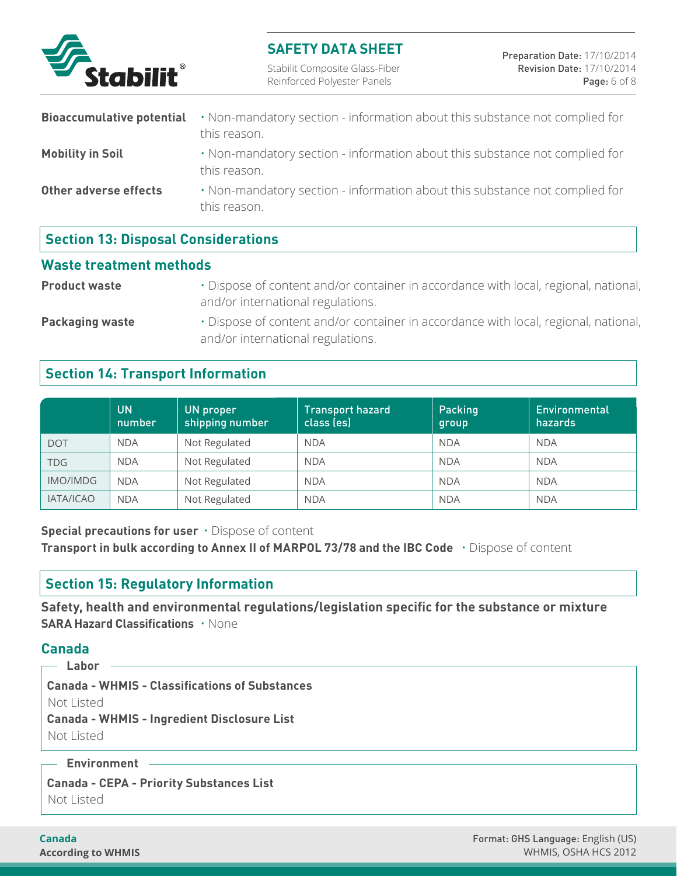

Stabilit Composite Glass-Fiber Reinforced Polyester Panels

|                         | <b>Bioaccumulative potential</b> $\cdot$ Non-mandatory section - information about this substance not complied for<br>this reason. |
|-------------------------|------------------------------------------------------------------------------------------------------------------------------------|
| <b>Mobility in Soil</b> | . Non-mandatory section - information about this substance not complied for<br>this reason.                                        |
| Other adverse effects   | . Non-mandatory section - information about this substance not complied for<br>this reason.                                        |

# **Section 13: Disposal Considerations**

#### **Waste treatment methods**

**Product waste** • Dispose of content and/or container in accordance with local, regional, national, and/or international regulations.

## **Packaging waste** • Dispose of content and/or container in accordance with local, regional, national, and/or international regulations.

# **Section 14: Transport Information**

|                  | <b>UN</b><br>number | <b>UN</b> proper<br>shipping number | Transport hazard<br>class (es) | Packing<br>group | Environmental<br>hazards |
|------------------|---------------------|-------------------------------------|--------------------------------|------------------|--------------------------|
| <b>DOT</b>       | <b>NDA</b>          | Not Regulated                       | <b>NDA</b>                     | <b>NDA</b>       | <b>NDA</b>               |
| TDG              | <b>NDA</b>          | Not Regulated                       | <b>NDA</b>                     | <b>NDA</b>       | <b>NDA</b>               |
| IMO/IMDG         | <b>NDA</b>          | Not Regulated                       | <b>NDA</b>                     | <b>NDA</b>       | <b>NDA</b>               |
| <b>IATA/ICAO</b> | <b>NDA</b>          | Not Regulated                       | <b>NDA</b>                     | <b>NDA</b>       | <b>NDA</b>               |

**Special precautions for user** • Dispose of content

**Transport in bulk according to Annex II of MARPOL 73/78 and the IBC Code** • Dispose of content

## **Section 15: Regulatory Information**

**Safety, health and environmental regulations/legislation specific for the substance or mixture SARA Hazard Classifications** • None

## **Canada**

 **Labor Canada - WHMIS - Classifications of Substances** Not Listed  **Canada - WHMIS - Ingredient Disclosure List** Not Listed

#### **Environment**

 **Canada - CEPA - Priority Substances List** Not Listed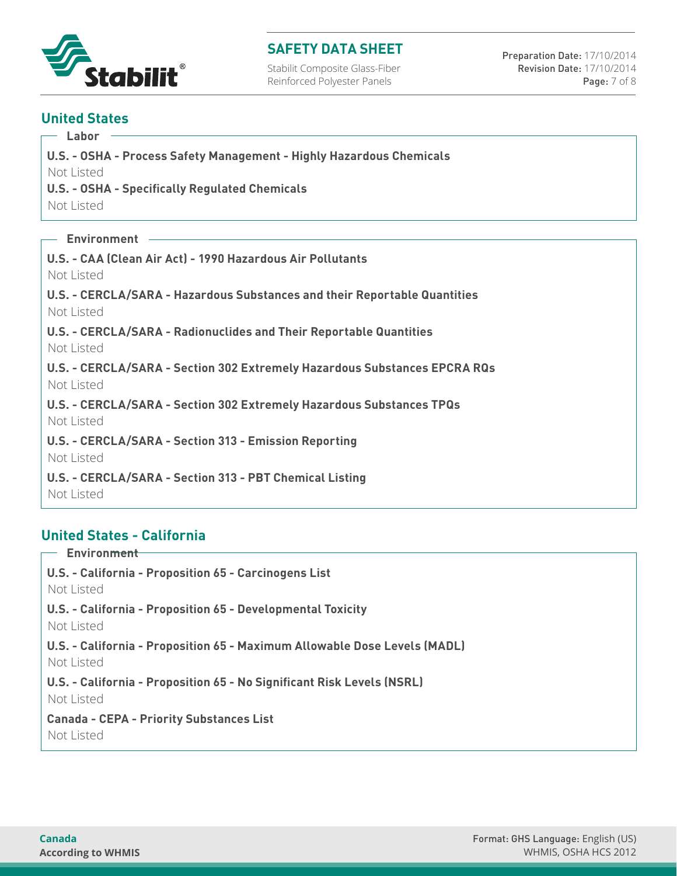

Stabilit Composite Glass-Fiber Reinforced Polyester Panels

Preparation Date: 17/10/2014 Revision Date: 17/10/2014 Page: 7 of 8

## **United States**

 **Labor**

 **U.S. - OSHA - Process Safety Management - Highly Hazardous Chemicals**

Not Listed

 **U.S. - OSHA - Specifically Regulated Chemicals**

Not Listed

 **Environment**

 **U.S. - CAA (Clean Air Act) - 1990 Hazardous Air Pollutants** Not Listed

 **U.S. - CERCLA/SARA - Hazardous Substances and their Reportable Quantities** Not Listed

 **U.S. - CERCLA/SARA - Radionuclides and Their Reportable Quantities** Not Listed

 **U.S. - CERCLA/SARA - Section 302 Extremely Hazardous Substances EPCRA RQs** Not Listed

 **U.S. - CERCLA/SARA - Section 302 Extremely Hazardous Substances TPQs** Not Listed

 **U.S. - CERCLA/SARA - Section 313 - Emission Reporting**

Not Listed

 **U.S. - CERCLA/SARA - Section 313 - PBT Chemical Listing** Not Listed

# **United States - California**

 **Environment U.S. - California - Proposition 65 - Carcinogens List** Not Listed  **U.S. - California - Proposition 65 - Developmental Toxicity** Not Listed  **U.S. - California - Proposition 65 - Maximum Allowable Dose Levels (MADL)** Not Listed  **U.S. - California - Proposition 65 - No Significant Risk Levels (NSRL)** Not Listed  **Canada - CEPA - Priority Substances List** Not Listed